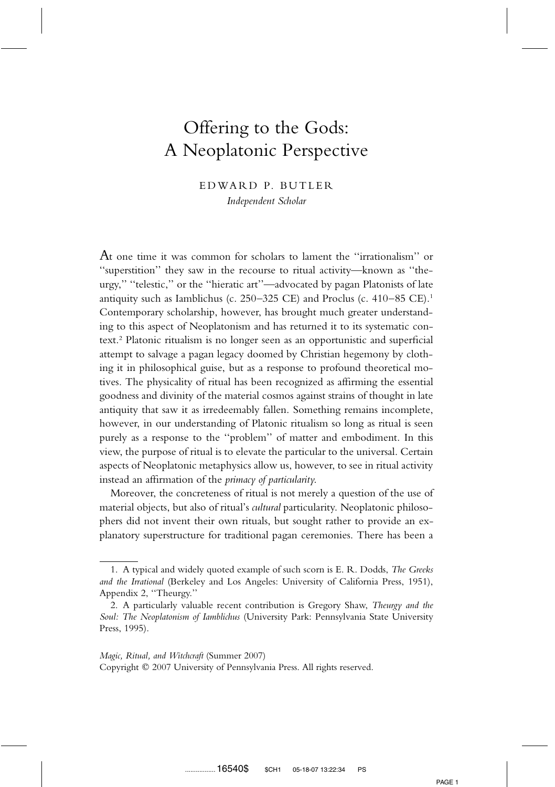# Offering to the Gods: A Neoplatonic Perspective

EDWARD P. BUTLER *Independent Scholar*

 ${\rm At}$  one time it was common for scholars to lament the ''irrationalism'' or ''superstition'' they saw in the recourse to ritual activity—known as ''theurgy,'' ''telestic,'' or the ''hieratic art''—advocated by pagan Platonists of late antiquity such as Iamblichus (c. 250–325 CE) and Proclus (c. 410–85 CE).1 Contemporary scholarship, however, has brought much greater understanding to this aspect of Neoplatonism and has returned it to its systematic context.2 Platonic ritualism is no longer seen as an opportunistic and superficial attempt to salvage a pagan legacy doomed by Christian hegemony by clothing it in philosophical guise, but as a response to profound theoretical motives. The physicality of ritual has been recognized as affirming the essential goodness and divinity of the material cosmos against strains of thought in late antiquity that saw it as irredeemably fallen. Something remains incomplete, however, in our understanding of Platonic ritualism so long as ritual is seen purely as a response to the ''problem'' of matter and embodiment. In this view, the purpose of ritual is to elevate the particular to the universal. Certain aspects of Neoplatonic metaphysics allow us, however, to see in ritual activity instead an affirmation of the *primacy of particularity*.

Moreover, the concreteness of ritual is not merely a question of the use of material objects, but also of ritual's *cultural* particularity. Neoplatonic philosophers did not invent their own rituals, but sought rather to provide an explanatory superstructure for traditional pagan ceremonies. There has been a

<sup>1.</sup> A typical and widely quoted example of such scorn is E. R. Dodds, *The Greeks and the Irrational* (Berkeley and Los Angeles: University of California Press, 1951), Appendix 2, ''Theurgy.''

<sup>2.</sup> A particularly valuable recent contribution is Gregory Shaw, *Theurgy and the Soul: The Neoplatonism of Iamblichus* (University Park: Pennsylvania State University Press, 1995).

*Magic, Ritual, and Witchcraft* (Summer 2007) Copyright © 2007 University of Pennsylvania Press. All rights reserved.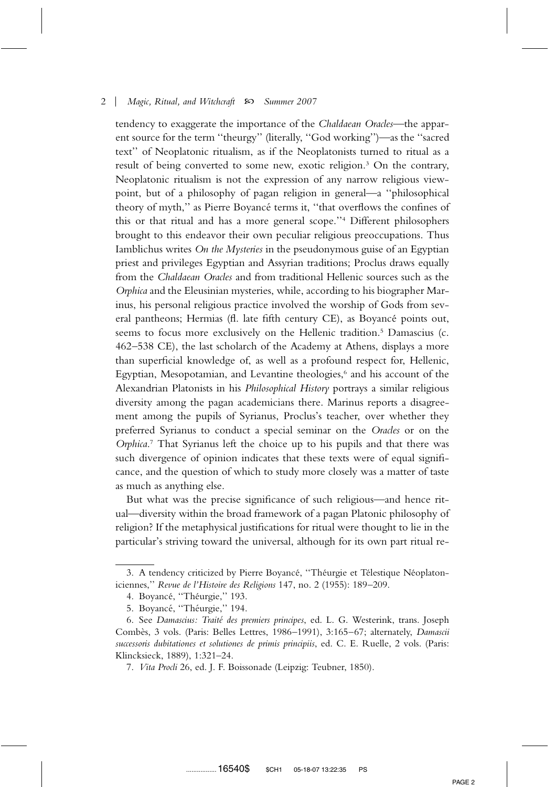tendency to exaggerate the importance of the *Chaldaean Oracles*—the apparent source for the term ''theurgy'' (literally, ''God working'')—as the ''sacred text'' of Neoplatonic ritualism, as if the Neoplatonists turned to ritual as a result of being converted to some new, exotic religion.3 On the contrary, Neoplatonic ritualism is not the expression of any narrow religious viewpoint, but of a philosophy of pagan religion in general—a ''philosophical theory of myth," as Pierre Boyancé terms it, "that overflows the confines of this or that ritual and has a more general scope.''4 Different philosophers brought to this endeavor their own peculiar religious preoccupations. Thus Iamblichus writes *On the Mysteries* in the pseudonymous guise of an Egyptian priest and privileges Egyptian and Assyrian traditions; Proclus draws equally from the *Chaldaean Oracles* and from traditional Hellenic sources such as the *Orphica* and the Eleusinian mysteries, while, according to his biographer Marinus, his personal religious practice involved the worship of Gods from several pantheons; Hermias (fl. late fifth century CE), as Boyancé points out, seems to focus more exclusively on the Hellenic tradition.<sup>5</sup> Damascius (c. 462–538 CE), the last scholarch of the Academy at Athens, displays a more than superficial knowledge of, as well as a profound respect for, Hellenic, Egyptian, Mesopotamian, and Levantine theologies,<sup>6</sup> and his account of the Alexandrian Platonists in his *Philosophical History* portrays a similar religious diversity among the pagan academicians there. Marinus reports a disagreement among the pupils of Syrianus, Proclus's teacher, over whether they preferred Syrianus to conduct a special seminar on the *Oracles* or on the *Orphica*. <sup>7</sup> That Syrianus left the choice up to his pupils and that there was such divergence of opinion indicates that these texts were of equal significance, and the question of which to study more closely was a matter of taste as much as anything else.

But what was the precise significance of such religious—and hence ritual—diversity within the broad framework of a pagan Platonic philosophy of religion? If the metaphysical justifications for ritual were thought to lie in the particular's striving toward the universal, although for its own part ritual re-

<sup>3.</sup> A tendency criticized by Pierre Boyancé, "Théurgie et Télestique Néoplatoniciennes,'' *Revue de l'Histoire des Religions* 147, no. 2 (1955): 189–209.

<sup>4.</sup> Boyancé, "Théurgie," 193.

<sup>5.</sup> Boyancé, "Théurgie," 194.

<sup>6.</sup> See *Damascius: Traite´ des premiers principes*, ed. L. G. Westerink, trans. Joseph Combès, 3 vols. (Paris: Belles Lettres, 1986–1991), 3:165–67; alternately, *Damascii successoris dubitationes et solutiones de primis principiis*, ed. C. E. Ruelle, 2 vols. (Paris: Klincksieck, 1889), 1:321–24.

<sup>7.</sup> *Vita Procli* 26, ed. J. F. Boissonade (Leipzig: Teubner, 1850).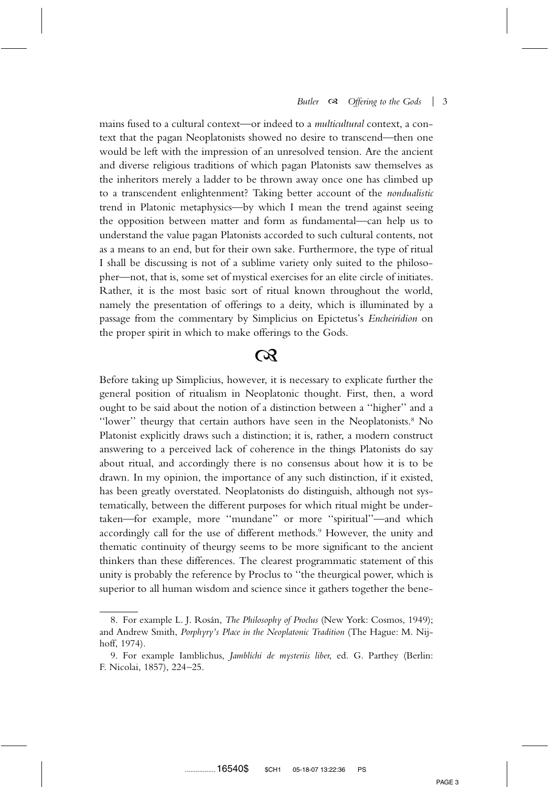mains fused to a cultural context—or indeed to a *multicultural* context, a context that the pagan Neoplatonists showed no desire to transcend—then one would be left with the impression of an unresolved tension. Are the ancient and diverse religious traditions of which pagan Platonists saw themselves as the inheritors merely a ladder to be thrown away once one has climbed up to a transcendent enlightenment? Taking better account of the *nondualistic* trend in Platonic metaphysics—by which I mean the trend against seeing the opposition between matter and form as fundamental—can help us to understand the value pagan Platonists accorded to such cultural contents, not as a means to an end, but for their own sake. Furthermore, the type of ritual I shall be discussing is not of a sublime variety only suited to the philosopher—not, that is, some set of mystical exercises for an elite circle of initiates. Rather, it is the most basic sort of ritual known throughout the world, namely the presentation of offerings to a deity, which is illuminated by a passage from the commentary by Simplicius on Epictetus's *Encheiridion* on the proper spirit in which to make offerings to the Gods.

## $\alpha$

Before taking up Simplicius, however, it is necessary to explicate further the general position of ritualism in Neoplatonic thought. First, then, a word ought to be said about the notion of a distinction between a ''higher'' and a ''lower'' theurgy that certain authors have seen in the Neoplatonists.8 No Platonist explicitly draws such a distinction; it is, rather, a modern construct answering to a perceived lack of coherence in the things Platonists do say about ritual, and accordingly there is no consensus about how it is to be drawn. In my opinion, the importance of any such distinction, if it existed, has been greatly overstated. Neoplatonists do distinguish, although not systematically, between the different purposes for which ritual might be undertaken—for example, more ''mundane'' or more ''spiritual''—and which accordingly call for the use of different methods.<sup>9</sup> However, the unity and thematic continuity of theurgy seems to be more significant to the ancient thinkers than these differences. The clearest programmatic statement of this unity is probably the reference by Proclus to ''the theurgical power, which is superior to all human wisdom and science since it gathers together the bene-

<sup>8.</sup> For example L. J. Rosán, *The Philosophy of Proclus* (New York: Cosmos, 1949); and Andrew Smith, *Porphyry's Place in the Neoplatonic Tradition* (The Hague: M. Nijhoff, 1974).

<sup>9.</sup> For example Iamblichus, *Jamblichi de mysteriis liber*, ed. G. Parthey (Berlin: F. Nicolai, 1857), 224–25.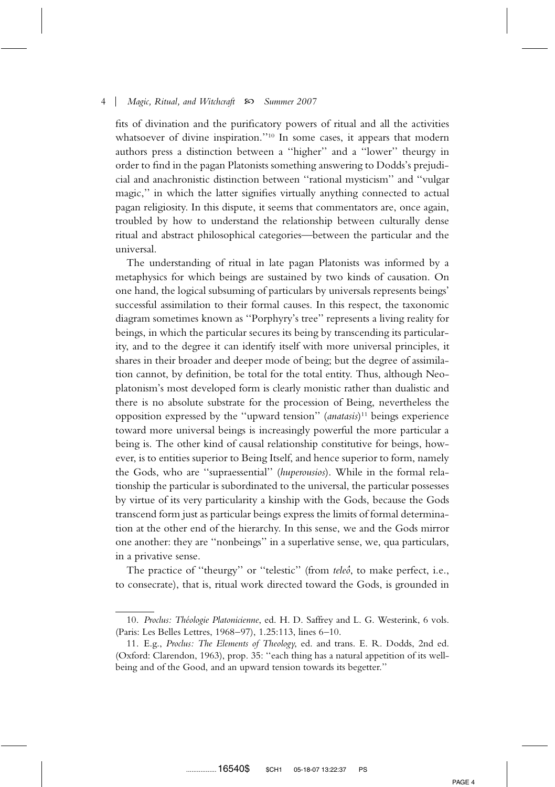fits of divination and the purificatory powers of ritual and all the activities whatsoever of divine inspiration."<sup>10</sup> In some cases, it appears that modern authors press a distinction between a ''higher'' and a ''lower'' theurgy in order to find in the pagan Platonists something answering to Dodds's prejudicial and anachronistic distinction between ''rational mysticism'' and ''vulgar magic,'' in which the latter signifies virtually anything connected to actual pagan religiosity. In this dispute, it seems that commentators are, once again, troubled by how to understand the relationship between culturally dense ritual and abstract philosophical categories—between the particular and the universal.

The understanding of ritual in late pagan Platonists was informed by a metaphysics for which beings are sustained by two kinds of causation. On one hand, the logical subsuming of particulars by universals represents beings' successful assimilation to their formal causes. In this respect, the taxonomic diagram sometimes known as ''Porphyry's tree'' represents a living reality for beings, in which the particular secures its being by transcending its particularity, and to the degree it can identify itself with more universal principles, it shares in their broader and deeper mode of being; but the degree of assimilation cannot, by definition, be total for the total entity. Thus, although Neoplatonism's most developed form is clearly monistic rather than dualistic and there is no absolute substrate for the procession of Being, nevertheless the opposition expressed by the ''upward tension'' (*anatasis*)11 beings experience toward more universal beings is increasingly powerful the more particular a being is. The other kind of causal relationship constitutive for beings, however, is to entities superior to Being Itself, and hence superior to form, namely the Gods, who are ''supraessential'' (*huperousios*). While in the formal relationship the particular is subordinated to the universal, the particular possesses by virtue of its very particularity a kinship with the Gods, because the Gods transcend form just as particular beings express the limits of formal determination at the other end of the hierarchy. In this sense, we and the Gods mirror one another: they are ''nonbeings'' in a superlative sense, we, qua particulars, in a privative sense.

The practice of "theurgy" or "telestic" (from *teleô*, to make perfect, i.e., to consecrate), that is, ritual work directed toward the Gods, is grounded in

<sup>10.</sup> *Proclus: The´ologie Platonicienne*, ed. H. D. Saffrey and L. G. Westerink, 6 vols. (Paris: Les Belles Lettres, 1968–97), 1.25:113, lines 6–10.

<sup>11.</sup> E.g., *Proclus: The Elements of Theology*, ed. and trans. E. R. Dodds, 2nd ed. (Oxford: Clarendon, 1963), prop. 35: ''each thing has a natural appetition of its wellbeing and of the Good, and an upward tension towards its begetter.''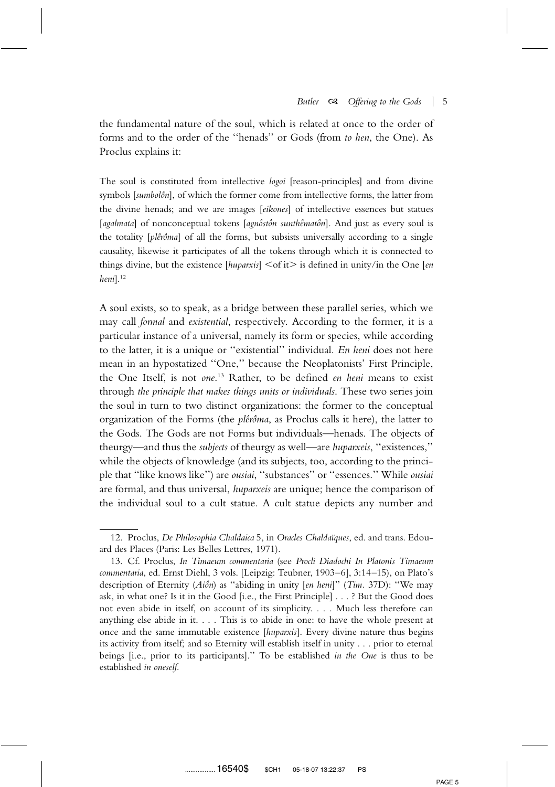the fundamental nature of the soul, which is related at once to the order of forms and to the order of the ''henads'' or Gods (from *to hen*, the One). As Proclus explains it:

The soul is constituted from intellective *logoi* [reason-principles] and from divine symbols [sumbolôn], of which the former come from intellective forms, the latter from the divine henads; and we are images [*eikones*] of intellective essences but statues [agalmata] of nonconceptual tokens [agnôstôn sunthêmatôn]. And just as every soul is the totality [plêrôma] of all the forms, but subsists universally according to a single causality, likewise it participates of all the tokens through which it is connected to things divine, but the existence [*huparxis*]  $\leq$  of it> is defined in unity/in the One [*en heni*].12

A soul exists, so to speak, as a bridge between these parallel series, which we may call *formal* and *existential*, respectively. According to the former, it is a particular instance of a universal, namely its form or species, while according to the latter, it is a unique or ''existential'' individual. *En heni* does not here mean in an hypostatized ''One,'' because the Neoplatonists' First Principle, the One Itself, is not *one*. <sup>13</sup> Rather, to be defined *en heni* means to exist through *the principle that makes things units or individuals*. These two series join the soul in turn to two distinct organizations: the former to the conceptual organization of the Forms (the *pleˆroˆma*, as Proclus calls it here), the latter to the Gods. The Gods are not Forms but individuals—henads. The objects of theurgy—and thus the *subjects* of theurgy as well—are *huparxeis*, ''existences,'' while the objects of knowledge (and its subjects, too, according to the principle that ''like knows like'') are *ousiai*, ''substances'' or ''essences.'' While *ousiai* are formal, and thus universal, *huparxeis* are unique; hence the comparison of the individual soul to a cult statue. A cult statue depicts any number and

<sup>12.</sup> Proclus, *De Philosophia Chaldaica* 5, in *Oracles Chaldaïques*, ed. and trans. Edouard des Places (Paris: Les Belles Lettres, 1971).

<sup>13.</sup> Cf. Proclus, *In Timaeum commentaria* (see *Procli Diadochi In Platonis Timaeum commentaria*, ed. Ernst Diehl, 3 vols. [Leipzig: Teubner, 1903–6], 3:14–15), on Plato's description of Eternity (*Aioˆn*) as ''abiding in unity [*en heni*]'' (*Tim.* 37D): ''We may ask, in what one? Is it in the Good [i.e., the First Principle] . . . ? But the Good does not even abide in itself, on account of its simplicity. . . . Much less therefore can anything else abide in it. . . . This is to abide in one: to have the whole present at once and the same immutable existence [*huparxis*]. Every divine nature thus begins its activity from itself; and so Eternity will establish itself in unity . . . prior to eternal beings [i.e., prior to its participants].'' To be established *in the One* is thus to be established *in oneself*.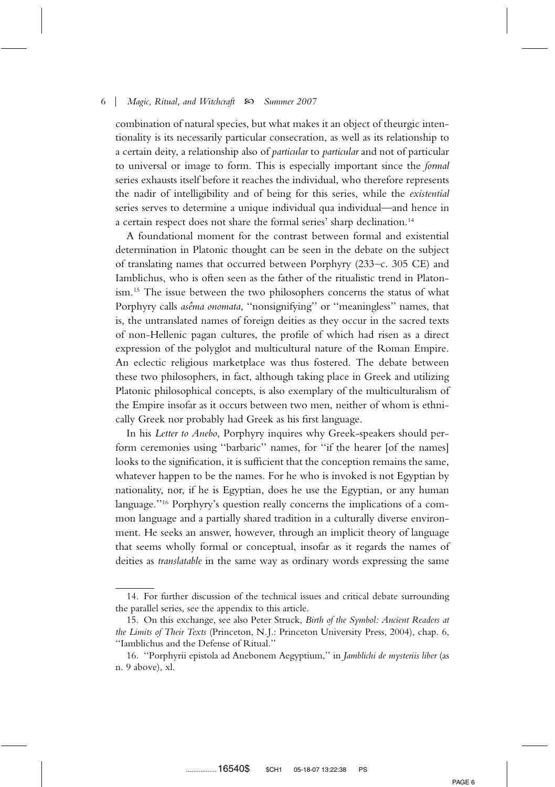combination of natural species, but what makes it an object of theurgic intentionality is its necessarily particular consecration, as well as its relationship to a certain deity, a relationship also of *particular* to *particular* and not of particular to universal or image to form. This is especially important since the *formal* series exhausts itself before it reaches the individual, who therefore represents the nadir of intelligibility and of being for this series, while the *existential* series serves to determine a unique individual qua individual—and hence in a certain respect does not share the formal series' sharp declination.<sup>14</sup>

A foundational moment for the contrast between formal and existential determination in Platonic thought can be seen in the debate on the subject of translating names that occurred between Porphyry (233–c. 305 CE) and Iamblichus, who is often seen as the father of the ritualistic trend in Platonism.<sup>15</sup> The issue between the two philosophers concerns the status of what Porphyry calls *asêma onomata*, "nonsignifying" or "meaningless" names, that is, the untranslated names of foreign deities as they occur in the sacred texts of non-Hellenic pagan cultures, the profile of which had risen as a direct expression of the polyglot and multicultural nature of the Roman Empire. An eclectic religious marketplace was thus fostered. The debate between these two philosophers, in fact, although taking place in Greek and utilizing Platonic philosophical concepts, is also exemplary of the multiculturalism of the Empire insofar as it occurs between two men, neither of whom is ethnically Greek nor probably had Greek as his first language.

In his *Letter to Anebo*, Porphyry inquires why Greek-speakers should perform ceremonies using ''barbaric'' names, for ''if the hearer [of the names] looks to the signification, it is sufficient that the conception remains the same, whatever happen to be the names. For he who is invoked is not Egyptian by nationality, nor, if he is Egyptian, does he use the Egyptian, or any human language.''16 Porphyry's question really concerns the implications of a common language and a partially shared tradition in a culturally diverse environment. He seeks an answer, however, through an implicit theory of language that seems wholly formal or conceptual, insofar as it regards the names of deities as *translatable* in the same way as ordinary words expressing the same

<sup>14.</sup> For further discussion of the technical issues and critical debate surrounding the parallel series, see the appendix to this article.

<sup>15.</sup> On this exchange, see also Peter Struck, *Birth of the Symbol: Ancient Readers at the Limits of Their Texts* (Princeton, N.J.: Princeton University Press, 2004), chap. 6, ''Iamblichus and the Defense of Ritual.''

<sup>16. &#</sup>x27;'Porphyrii epistola ad Anebonem Aegyptium,'' in *Jamblichi de mysteriis liber* (as n. 9 above), xl.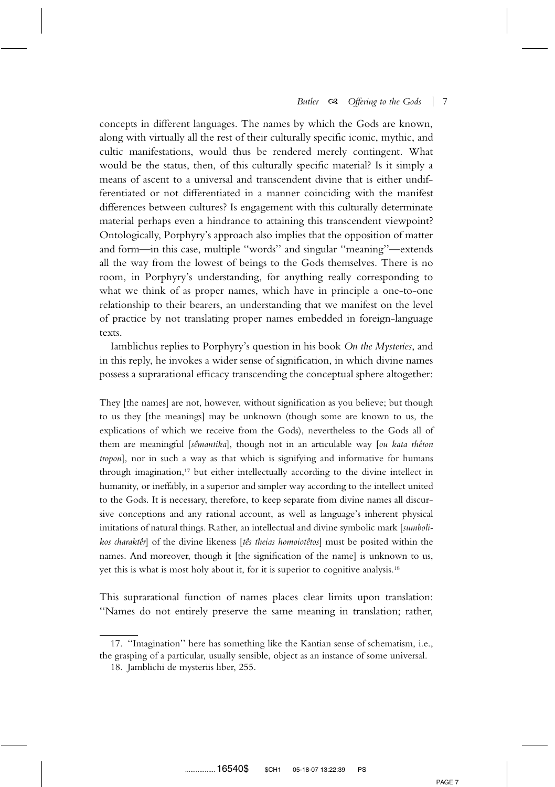concepts in different languages. The names by which the Gods are known, along with virtually all the rest of their culturally specific iconic, mythic, and cultic manifestations, would thus be rendered merely contingent. What would be the status, then, of this culturally specific material? Is it simply a means of ascent to a universal and transcendent divine that is either undifferentiated or not differentiated in a manner coinciding with the manifest differences between cultures? Is engagement with this culturally determinate material perhaps even a hindrance to attaining this transcendent viewpoint? Ontologically, Porphyry's approach also implies that the opposition of matter and form—in this case, multiple ''words'' and singular ''meaning''—extends all the way from the lowest of beings to the Gods themselves. There is no room, in Porphyry's understanding, for anything really corresponding to what we think of as proper names, which have in principle a one-to-one relationship to their bearers, an understanding that we manifest on the level of practice by not translating proper names embedded in foreign-language texts.

Iamblichus replies to Porphyry's question in his book *On the Mysteries*, and in this reply, he invokes a wider sense of signification, in which divine names possess a suprarational efficacy transcending the conceptual sphere altogether:

They [the names] are not, however, without signification as you believe; but though to us they [the meanings] may be unknown (though some are known to us, the explications of which we receive from the Gods), nevertheless to the Gods all of them are meaningful [*seˆmantika*], though not in an articulable way [*ou kata rheˆton tropon*], nor in such a way as that which is signifying and informative for humans through imagination,<sup>17</sup> but either intellectually according to the divine intellect in humanity, or ineffably, in a superior and simpler way according to the intellect united to the Gods. It is necessary, therefore, to keep separate from divine names all discursive conceptions and any rational account, as well as language's inherent physical imitations of natural things. Rather, an intellectual and divine symbolic mark [*sumbolikos charakteˆr*] of the divine likeness [*teˆs theias homoioteˆtos*] must be posited within the names. And moreover, though it [the signification of the name] is unknown to us, yet this is what is most holy about it, for it is superior to cognitive analysis.18

This suprarational function of names places clear limits upon translation: ''Names do not entirely preserve the same meaning in translation; rather,

<sup>17. &#</sup>x27;'Imagination'' here has something like the Kantian sense of schematism, i.e., the grasping of a particular, usually sensible, object as an instance of some universal.

<sup>18.</sup> Jamblichi de mysteriis liber, 255.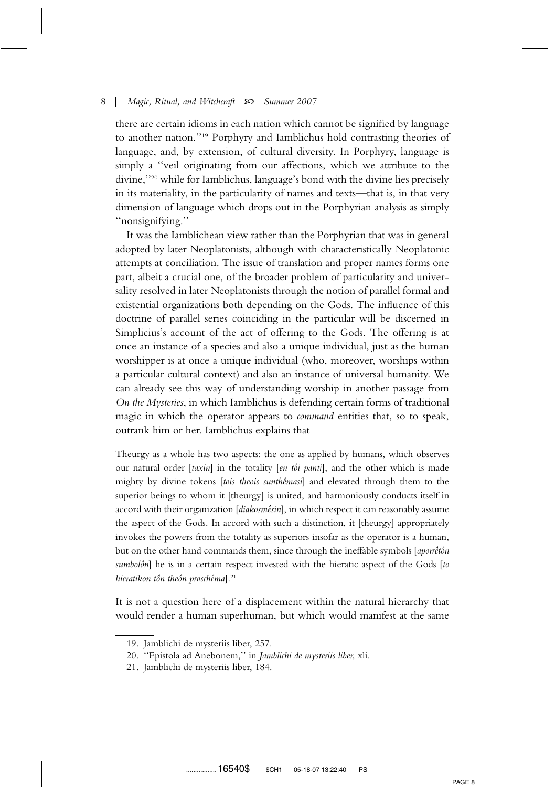there are certain idioms in each nation which cannot be signified by language to another nation.''19 Porphyry and Iamblichus hold contrasting theories of language, and, by extension, of cultural diversity. In Porphyry, language is simply a ''veil originating from our affections, which we attribute to the divine,''20 while for Iamblichus, language's bond with the divine lies precisely in its materiality, in the particularity of names and texts—that is, in that very dimension of language which drops out in the Porphyrian analysis as simply ''nonsignifying.''

It was the Iamblichean view rather than the Porphyrian that was in general adopted by later Neoplatonists, although with characteristically Neoplatonic attempts at conciliation. The issue of translation and proper names forms one part, albeit a crucial one, of the broader problem of particularity and universality resolved in later Neoplatonists through the notion of parallel formal and existential organizations both depending on the Gods. The influence of this doctrine of parallel series coinciding in the particular will be discerned in Simplicius's account of the act of offering to the Gods. The offering is at once an instance of a species and also a unique individual, just as the human worshipper is at once a unique individual (who, moreover, worships within a particular cultural context) and also an instance of universal humanity. We can already see this way of understanding worship in another passage from *On the Mysteries*, in which Iamblichus is defending certain forms of traditional magic in which the operator appears to *command* entities that, so to speak, outrank him or her. Iamblichus explains that

Theurgy as a whole has two aspects: the one as applied by humans, which observes our natural order [taxin] in the totality [en tôi panti], and the other which is made mighty by divine tokens [tois theois sunthe<sup>masi</sup>] and elevated through them to the superior beings to whom it [theurgy] is united, and harmoniously conducts itself in accord with their organization [*diakosmêsin*], in which respect it can reasonably assume the aspect of the Gods. In accord with such a distinction, it [theurgy] appropriately invokes the powers from the totality as superiors insofar as the operator is a human, but on the other hand commands them, since through the ineffable symbols [*aporrêtôn sumboloˆn*] he is in a certain respect invested with the hieratic aspect of the Gods [*to hieratikon tôn theôn proschêma*].<sup>21</sup>

It is not a question here of a displacement within the natural hierarchy that would render a human superhuman, but which would manifest at the same

<sup>19.</sup> Jamblichi de mysteriis liber, 257.

<sup>20. &#</sup>x27;'Epistola ad Anebonem,'' in *Jamblichi de mysteriis liber*, xli.

<sup>21.</sup> Jamblichi de mysteriis liber, 184.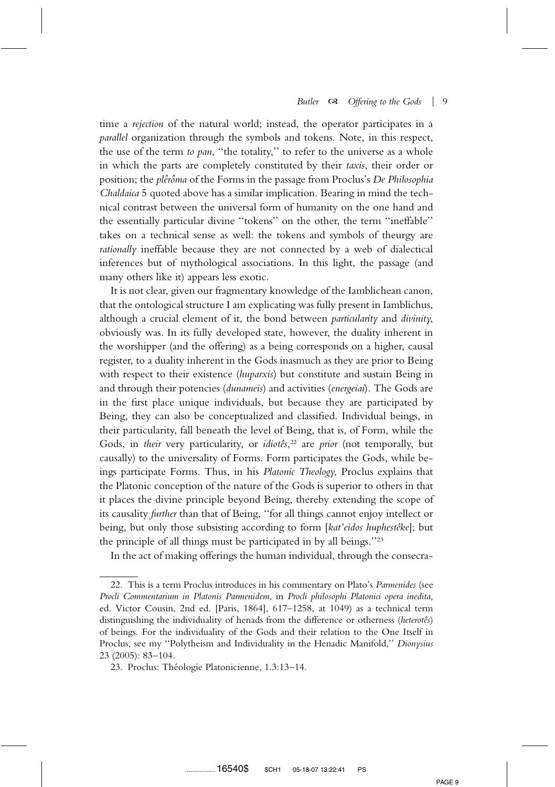time a *rejection* of the natural world; instead, the operator participates in a *parallel* organization through the symbols and tokens. Note, in this respect, the use of the term *to pan*, ''the totality,'' to refer to the universe as a whole in which the parts are completely constituted by their *taxis*, their order or position; the *pleˆroˆma* of the Forms in the passage from Proclus's *De Philosophia Chaldaica* 5 quoted above has a similar implication. Bearing in mind the technical contrast between the universal form of humanity on the one hand and the essentially particular divine ''tokens'' on the other, the term ''ineffable'' takes on a technical sense as well: the tokens and symbols of theurgy are *rationally* ineffable because they are not connected by a web of dialectical inferences but of mythological associations. In this light, the passage (and many others like it) appears less exotic.

It is not clear, given our fragmentary knowledge of the Iamblichean canon, that the ontological structure I am explicating was fully present in Iamblichus, although a crucial element of it, the bond between *particularity* and *divinity*, obviously was. In its fully developed state, however, the duality inherent in the worshipper (and the offering) as a being corresponds on a higher, causal register, to a duality inherent in the Gods inasmuch as they are prior to Being with respect to their existence (*huparxis*) but constitute and sustain Being in and through their potencies (*dunameis*) and activities (*energeiai*). The Gods are in the first place unique individuals, but because they are participated by Being, they can also be conceptualized and classified. Individual beings, in their particularity, fall beneath the level of Being, that is, of Form, while the Gods, in *their* very particularity, or *idiotês*,<sup>22</sup> are *prior* (not temporally, but causally) to the universality of Forms. Form participates the Gods, while beings participate Forms. Thus, in his *Platonic Theology*, Proclus explains that the Platonic conception of the nature of the Gods is superior to others in that it places the divine principle beyond Being, thereby extending the scope of its causality *further* than that of Being, ''for all things cannot enjoy intellect or being, but only those subsisting according to form [kat'eidos huphestêke]; but the principle of all things must be participated in by all beings.''23

In the act of making offerings the human individual, through the consecra-

<sup>22.</sup> This is a term Proclus introduces in his commentary on Plato's *Parmenides* (see *Procli Commentarium in Platonis Parmenidem*, in *Procli philosophi Platonici opera inedita*, ed. Victor Cousin, 2nd ed. [Paris, 1864], 617–1258, at 1049) as a technical term distinguishing the individuality of henads from the difference or otherness (heterotês) of beings. For the individuality of the Gods and their relation to the One Itself in Proclus, see my ''Polytheism and Individuality in the Henadic Manifold,'' *Dionysius* 23 (2005): 83–104.

<sup>23.</sup> Proclus: Théologie Platonicienne, 1.3:13-14.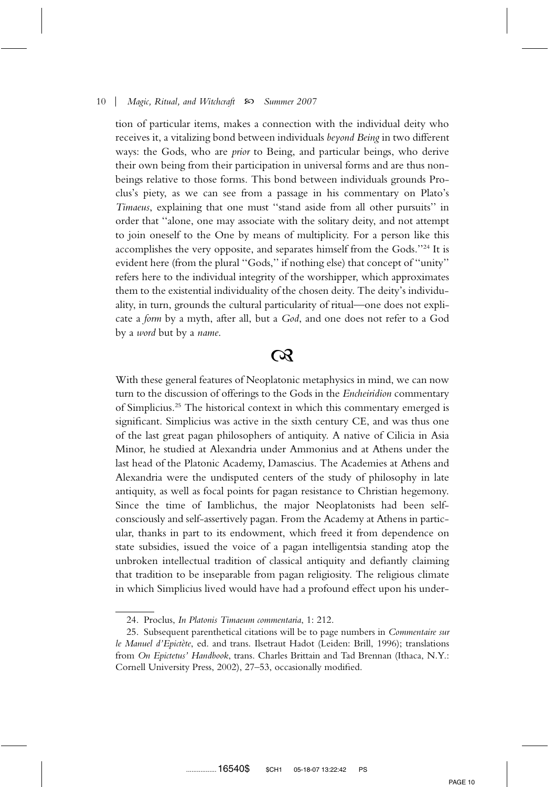tion of particular items, makes a connection with the individual deity who receives it, a vitalizing bond between individuals *beyond Being* in two different ways: the Gods, who are *prior* to Being, and particular beings, who derive their own being from their participation in universal forms and are thus nonbeings relative to those forms. This bond between individuals grounds Proclus's piety, as we can see from a passage in his commentary on Plato's *Timaeus*, explaining that one must ''stand aside from all other pursuits'' in order that ''alone, one may associate with the solitary deity, and not attempt to join oneself to the One by means of multiplicity. For a person like this accomplishes the very opposite, and separates himself from the Gods.''24 It is evident here (from the plural ''Gods,'' if nothing else) that concept of ''unity'' refers here to the individual integrity of the worshipper, which approximates them to the existential individuality of the chosen deity. The deity's individuality, in turn, grounds the cultural particularity of ritual—one does not explicate a *form* by a myth, after all, but a *God*, and one does not refer to a God by a *word* but by a *name*.

## $\alpha$

With these general features of Neoplatonic metaphysics in mind, we can now turn to the discussion of offerings to the Gods in the *Encheiridion* commentary of Simplicius.25 The historical context in which this commentary emerged is significant. Simplicius was active in the sixth century CE, and was thus one of the last great pagan philosophers of antiquity. A native of Cilicia in Asia Minor, he studied at Alexandria under Ammonius and at Athens under the last head of the Platonic Academy, Damascius. The Academies at Athens and Alexandria were the undisputed centers of the study of philosophy in late antiquity, as well as focal points for pagan resistance to Christian hegemony. Since the time of Iamblichus, the major Neoplatonists had been selfconsciously and self-assertively pagan. From the Academy at Athens in particular, thanks in part to its endowment, which freed it from dependence on state subsidies, issued the voice of a pagan intelligentsia standing atop the unbroken intellectual tradition of classical antiquity and defiantly claiming that tradition to be inseparable from pagan religiosity. The religious climate in which Simplicius lived would have had a profound effect upon his under-

<sup>24.</sup> Proclus, *In Platonis Timaeum commentaria*, 1: 212.

<sup>25.</sup> Subsequent parenthetical citations will be to page numbers in *Commentaire sur le Manuel d'Epicte`te*, ed. and trans. Ilsetraut Hadot (Leiden: Brill, 1996); translations from *On Epictetus' Handbook*, trans. Charles Brittain and Tad Brennan (Ithaca, N.Y.: Cornell University Press, 2002), 27–53, occasionally modified.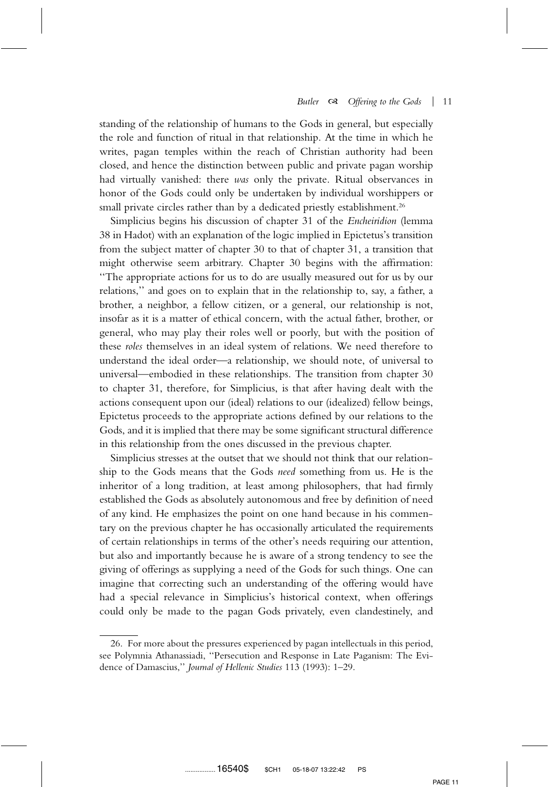standing of the relationship of humans to the Gods in general, but especially the role and function of ritual in that relationship. At the time in which he writes, pagan temples within the reach of Christian authority had been closed, and hence the distinction between public and private pagan worship had virtually vanished: there *was* only the private. Ritual observances in honor of the Gods could only be undertaken by individual worshippers or small private circles rather than by a dedicated priestly establishment.<sup>26</sup>

Simplicius begins his discussion of chapter 31 of the *Encheiridion* (lemma 38 in Hadot) with an explanation of the logic implied in Epictetus's transition from the subject matter of chapter 30 to that of chapter 31, a transition that might otherwise seem arbitrary. Chapter 30 begins with the affirmation: ''The appropriate actions for us to do are usually measured out for us by our relations,'' and goes on to explain that in the relationship to, say, a father, a brother, a neighbor, a fellow citizen, or a general, our relationship is not, insofar as it is a matter of ethical concern, with the actual father, brother, or general, who may play their roles well or poorly, but with the position of these *roles* themselves in an ideal system of relations. We need therefore to understand the ideal order—a relationship, we should note, of universal to universal—embodied in these relationships. The transition from chapter 30 to chapter 31, therefore, for Simplicius, is that after having dealt with the actions consequent upon our (ideal) relations to our (idealized) fellow beings, Epictetus proceeds to the appropriate actions defined by our relations to the Gods, and it is implied that there may be some significant structural difference in this relationship from the ones discussed in the previous chapter.

Simplicius stresses at the outset that we should not think that our relationship to the Gods means that the Gods *need* something from us. He is the inheritor of a long tradition, at least among philosophers, that had firmly established the Gods as absolutely autonomous and free by definition of need of any kind. He emphasizes the point on one hand because in his commentary on the previous chapter he has occasionally articulated the requirements of certain relationships in terms of the other's needs requiring our attention, but also and importantly because he is aware of a strong tendency to see the giving of offerings as supplying a need of the Gods for such things. One can imagine that correcting such an understanding of the offering would have had a special relevance in Simplicius's historical context, when offerings could only be made to the pagan Gods privately, even clandestinely, and

<sup>26.</sup> For more about the pressures experienced by pagan intellectuals in this period, see Polymnia Athanassiadi, ''Persecution and Response in Late Paganism: The Evidence of Damascius,'' *Journal of Hellenic Studies* 113 (1993): 1–29.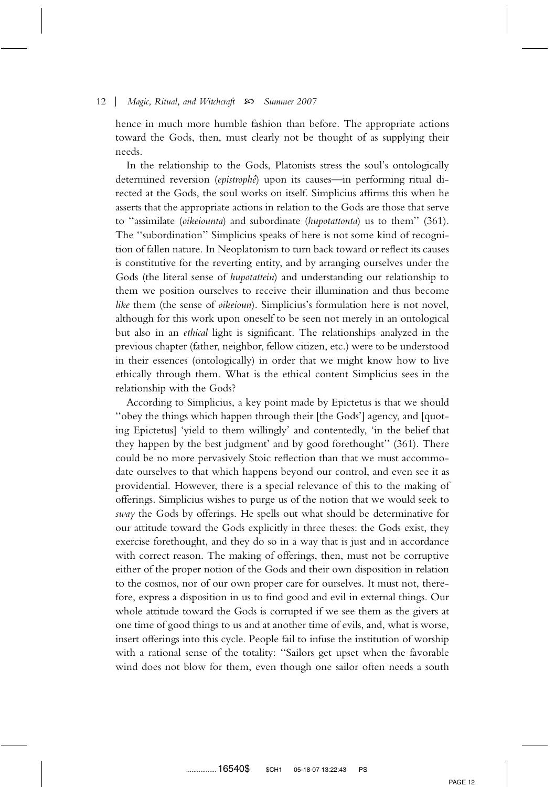hence in much more humble fashion than before. The appropriate actions toward the Gods, then, must clearly not be thought of as supplying their needs.

In the relationship to the Gods, Platonists stress the soul's ontologically determined reversion (*epistrophê*) upon its causes—in performing ritual directed at the Gods, the soul works on itself. Simplicius affirms this when he asserts that the appropriate actions in relation to the Gods are those that serve to ''assimilate (*oikeiounta*) and subordinate (*hupotattonta*) us to them'' (361). The ''subordination'' Simplicius speaks of here is not some kind of recognition of fallen nature. In Neoplatonism to turn back toward or reflect its causes is constitutive for the reverting entity, and by arranging ourselves under the Gods (the literal sense of *hupotattein*) and understanding our relationship to them we position ourselves to receive their illumination and thus become *like* them (the sense of *oikeioun*). Simplicius's formulation here is not novel, although for this work upon oneself to be seen not merely in an ontological but also in an *ethical* light is significant. The relationships analyzed in the previous chapter (father, neighbor, fellow citizen, etc.) were to be understood in their essences (ontologically) in order that we might know how to live ethically through them. What is the ethical content Simplicius sees in the relationship with the Gods?

According to Simplicius, a key point made by Epictetus is that we should ''obey the things which happen through their [the Gods'] agency, and [quoting Epictetus] 'yield to them willingly' and contentedly, 'in the belief that they happen by the best judgment' and by good forethought'' (361). There could be no more pervasively Stoic reflection than that we must accommodate ourselves to that which happens beyond our control, and even see it as providential. However, there is a special relevance of this to the making of offerings. Simplicius wishes to purge us of the notion that we would seek to *sway* the Gods by offerings. He spells out what should be determinative for our attitude toward the Gods explicitly in three theses: the Gods exist, they exercise forethought, and they do so in a way that is just and in accordance with correct reason. The making of offerings, then, must not be corruptive either of the proper notion of the Gods and their own disposition in relation to the cosmos, nor of our own proper care for ourselves. It must not, therefore, express a disposition in us to find good and evil in external things. Our whole attitude toward the Gods is corrupted if we see them as the givers at one time of good things to us and at another time of evils, and, what is worse, insert offerings into this cycle. People fail to infuse the institution of worship with a rational sense of the totality: ''Sailors get upset when the favorable wind does not blow for them, even though one sailor often needs a south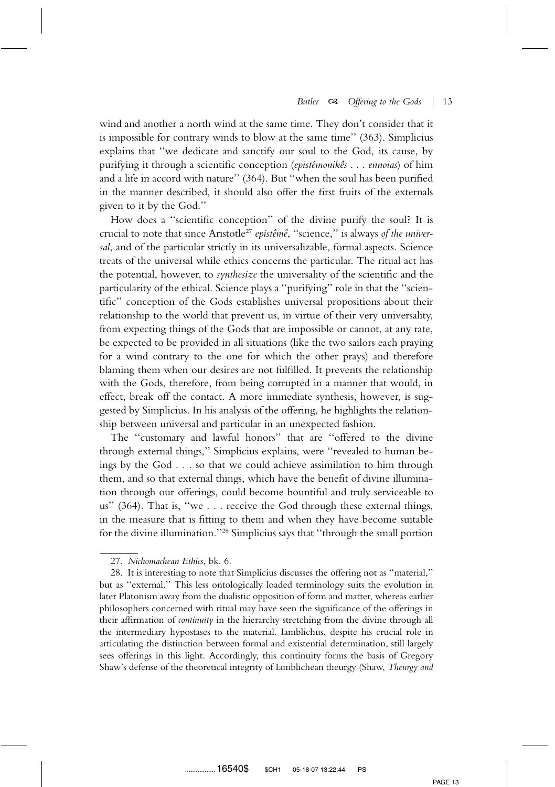wind and another a north wind at the same time. They don't consider that it is impossible for contrary winds to blow at the same time'' (363). Simplicius explains that ''we dedicate and sanctify our soul to the God, its cause, by purifying it through a scientific conception (*episteˆmonikeˆs* ... *ennoias*) of him and a life in accord with nature'' (364). But ''when the soul has been purified in the manner described, it should also offer the first fruits of the externals given to it by the God.''

How does a ''scientific conception'' of the divine purify the soul? It is crucial to note that since Aristotle<sup>27</sup> epistêmê, "science," is always of the univer*sal*, and of the particular strictly in its universalizable, formal aspects. Science treats of the universal while ethics concerns the particular. The ritual act has the potential, however, to *synthesize* the universality of the scientific and the particularity of the ethical. Science plays a ''purifying'' role in that the ''scientific'' conception of the Gods establishes universal propositions about their relationship to the world that prevent us, in virtue of their very universality, from expecting things of the Gods that are impossible or cannot, at any rate, be expected to be provided in all situations (like the two sailors each praying for a wind contrary to the one for which the other prays) and therefore blaming them when our desires are not fulfilled. It prevents the relationship with the Gods, therefore, from being corrupted in a manner that would, in effect, break off the contact. A more immediate synthesis, however, is suggested by Simplicius. In his analysis of the offering, he highlights the relationship between universal and particular in an unexpected fashion.

The ''customary and lawful honors'' that are ''offered to the divine through external things,'' Simplicius explains, were ''revealed to human beings by the God . . . so that we could achieve assimilation to him through them, and so that external things, which have the benefit of divine illumination through our offerings, could become bountiful and truly serviceable to us'' (364). That is, ''we . . . receive the God through these external things, in the measure that is fitting to them and when they have become suitable for the divine illumination.''28 Simplicius says that ''through the small portion

<sup>27.</sup> *Nichomachean Ethics*, bk. 6.

<sup>28.</sup> It is interesting to note that Simplicius discusses the offering not as ''material,'' but as ''external.'' This less ontologically loaded terminology suits the evolution in later Platonism away from the dualistic opposition of form and matter, whereas earlier philosophers concerned with ritual may have seen the significance of the offerings in their affirmation of *continuity* in the hierarchy stretching from the divine through all the intermediary hypostases to the material. Iamblichus, despite his crucial role in articulating the distinction between formal and existential determination, still largely sees offerings in this light. Accordingly, this continuity forms the basis of Gregory Shaw's defense of the theoretical integrity of Iamblichean theurgy (Shaw, *Theurgy and*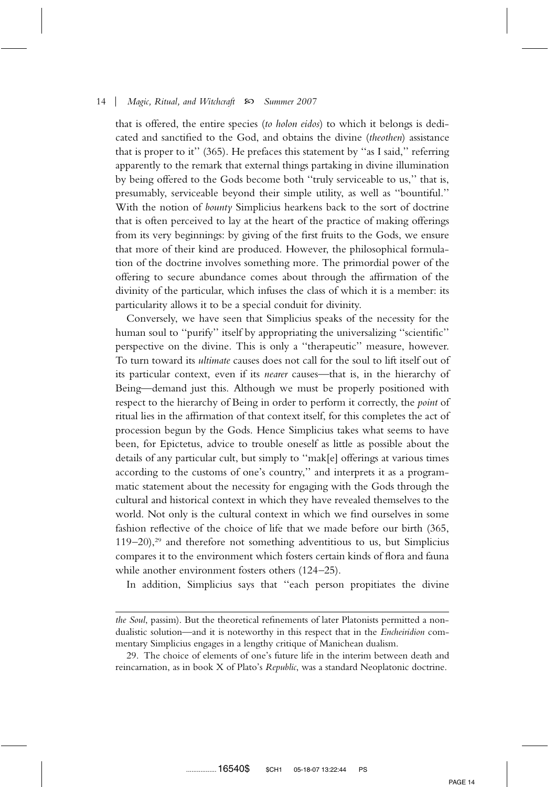that is offered, the entire species (*to holon eidos*) to which it belongs is dedicated and sanctified to the God, and obtains the divine (*theothen*) assistance that is proper to it'' (365). He prefaces this statement by ''as I said,'' referring apparently to the remark that external things partaking in divine illumination by being offered to the Gods become both ''truly serviceable to us,'' that is, presumably, serviceable beyond their simple utility, as well as ''bountiful.'' With the notion of *bounty* Simplicius hearkens back to the sort of doctrine that is often perceived to lay at the heart of the practice of making offerings from its very beginnings: by giving of the first fruits to the Gods, we ensure that more of their kind are produced. However, the philosophical formulation of the doctrine involves something more. The primordial power of the offering to secure abundance comes about through the affirmation of the divinity of the particular, which infuses the class of which it is a member: its particularity allows it to be a special conduit for divinity.

Conversely, we have seen that Simplicius speaks of the necessity for the human soul to "purify" itself by appropriating the universalizing "scientific" perspective on the divine. This is only a ''therapeutic'' measure, however. To turn toward its *ultimate* causes does not call for the soul to lift itself out of its particular context, even if its *nearer* causes—that is, in the hierarchy of Being—demand just this. Although we must be properly positioned with respect to the hierarchy of Being in order to perform it correctly, the *point* of ritual lies in the affirmation of that context itself, for this completes the act of procession begun by the Gods. Hence Simplicius takes what seems to have been, for Epictetus, advice to trouble oneself as little as possible about the details of any particular cult, but simply to ''mak[e] offerings at various times according to the customs of one's country,'' and interprets it as a programmatic statement about the necessity for engaging with the Gods through the cultural and historical context in which they have revealed themselves to the world. Not only is the cultural context in which we find ourselves in some fashion reflective of the choice of life that we made before our birth (365,  $119-20$ ),<sup>29</sup> and therefore not something adventitious to us, but Simplicius compares it to the environment which fosters certain kinds of flora and fauna while another environment fosters others (124–25).

In addition, Simplicius says that ''each person propitiates the divine

*the Soul*, passim). But the theoretical refinements of later Platonists permitted a nondualistic solution—and it is noteworthy in this respect that in the *Encheiridion* commentary Simplicius engages in a lengthy critique of Manichean dualism.

<sup>29.</sup> The choice of elements of one's future life in the interim between death and reincarnation, as in book X of Plato's *Republic*, was a standard Neoplatonic doctrine.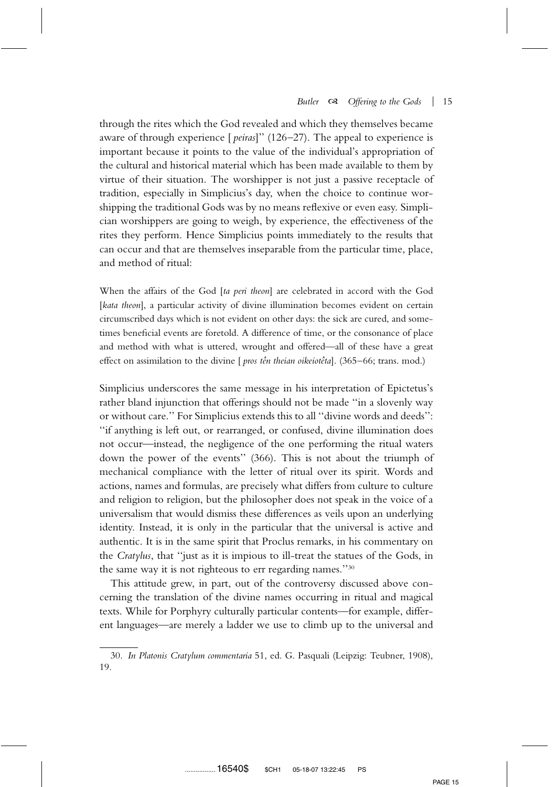through the rites which the God revealed and which they themselves became aware of through experience [ *peiras*]'' (126–27). The appeal to experience is important because it points to the value of the individual's appropriation of the cultural and historical material which has been made available to them by virtue of their situation. The worshipper is not just a passive receptacle of tradition, especially in Simplicius's day, when the choice to continue worshipping the traditional Gods was by no means reflexive or even easy. Simplician worshippers are going to weigh, by experience, the effectiveness of the rites they perform. Hence Simplicius points immediately to the results that can occur and that are themselves inseparable from the particular time, place, and method of ritual:

When the affairs of the God [*ta peri theon*] are celebrated in accord with the God [*kata theon*], a particular activity of divine illumination becomes evident on certain circumscribed days which is not evident on other days: the sick are cured, and sometimes beneficial events are foretold. A difference of time, or the consonance of place and method with what is uttered, wrought and offered—all of these have a great effect on assimilation to the divine [*pros tên theian oikeiotêta*]. (365–66; trans. mod.)

Simplicius underscores the same message in his interpretation of Epictetus's rather bland injunction that offerings should not be made ''in a slovenly way or without care.'' For Simplicius extends this to all ''divine words and deeds'': ''if anything is left out, or rearranged, or confused, divine illumination does not occur—instead, the negligence of the one performing the ritual waters down the power of the events'' (366). This is not about the triumph of mechanical compliance with the letter of ritual over its spirit. Words and actions, names and formulas, are precisely what differs from culture to culture and religion to religion, but the philosopher does not speak in the voice of a universalism that would dismiss these differences as veils upon an underlying identity. Instead, it is only in the particular that the universal is active and authentic. It is in the same spirit that Proclus remarks, in his commentary on the *Cratylus*, that ''just as it is impious to ill-treat the statues of the Gods, in the same way it is not righteous to err regarding names."<sup>30</sup>

This attitude grew, in part, out of the controversy discussed above concerning the translation of the divine names occurring in ritual and magical texts. While for Porphyry culturally particular contents—for example, different languages—are merely a ladder we use to climb up to the universal and

<sup>30.</sup> *In Platonis Cratylum commentaria* 51, ed. G. Pasquali (Leipzig: Teubner, 1908), 19.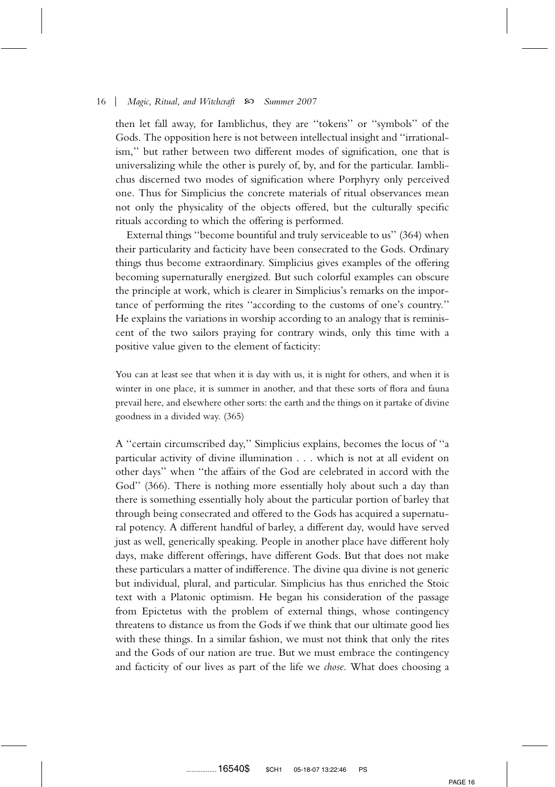then let fall away, for Iamblichus, they are ''tokens'' or ''symbols'' of the Gods. The opposition here is not between intellectual insight and ''irrationalism,'' but rather between two different modes of signification, one that is universalizing while the other is purely of, by, and for the particular. Iamblichus discerned two modes of signification where Porphyry only perceived one. Thus for Simplicius the concrete materials of ritual observances mean not only the physicality of the objects offered, but the culturally specific rituals according to which the offering is performed.

External things ''become bountiful and truly serviceable to us'' (364) when their particularity and facticity have been consecrated to the Gods. Ordinary things thus become extraordinary. Simplicius gives examples of the offering becoming supernaturally energized. But such colorful examples can obscure the principle at work, which is clearer in Simplicius's remarks on the importance of performing the rites ''according to the customs of one's country.'' He explains the variations in worship according to an analogy that is reminiscent of the two sailors praying for contrary winds, only this time with a positive value given to the element of facticity:

You can at least see that when it is day with us, it is night for others, and when it is winter in one place, it is summer in another, and that these sorts of flora and fauna prevail here, and elsewhere other sorts: the earth and the things on it partake of divine goodness in a divided way. (365)

A ''certain circumscribed day,'' Simplicius explains, becomes the locus of ''a particular activity of divine illumination . . . which is not at all evident on other days'' when ''the affairs of the God are celebrated in accord with the God'' (366). There is nothing more essentially holy about such a day than there is something essentially holy about the particular portion of barley that through being consecrated and offered to the Gods has acquired a supernatural potency. A different handful of barley, a different day, would have served just as well, generically speaking. People in another place have different holy days, make different offerings, have different Gods. But that does not make these particulars a matter of indifference. The divine qua divine is not generic but individual, plural, and particular. Simplicius has thus enriched the Stoic text with a Platonic optimism. He began his consideration of the passage from Epictetus with the problem of external things, whose contingency threatens to distance us from the Gods if we think that our ultimate good lies with these things. In a similar fashion, we must not think that only the rites and the Gods of our nation are true. But we must embrace the contingency and facticity of our lives as part of the life we *chose*. What does choosing a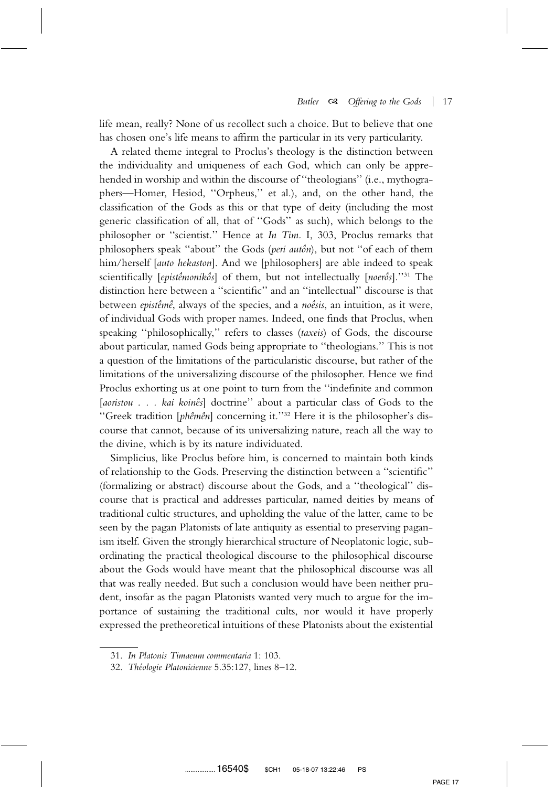life mean, really? None of us recollect such a choice. But to believe that one has chosen one's life means to affirm the particular in its very particularity.

A related theme integral to Proclus's theology is the distinction between the individuality and uniqueness of each God, which can only be apprehended in worship and within the discourse of ''theologians'' (i.e., mythographers—Homer, Hesiod, ''Orpheus,'' et al.), and, on the other hand, the classification of the Gods as this or that type of deity (including the most generic classification of all, that of ''Gods'' as such), which belongs to the philosopher or ''scientist.'' Hence at *In Tim.* I, 303, Proclus remarks that philosophers speak "about" the Gods (*peri autôn*), but not "of each of them him/herself [*auto hekaston*]. And we [philosophers] are able indeed to speak scientifically [*epistêmonikôs*] of them, but not intellectually [*noerôs*]."<sup>31</sup> The distinction here between a ''scientific'' and an ''intellectual'' discourse is that between *epistêmê*, always of the species, and a *noêsis*, an intuition, as it were, of individual Gods with proper names. Indeed, one finds that Proclus, when speaking ''philosophically,'' refers to classes (*taxeis*) of Gods, the discourse about particular, named Gods being appropriate to ''theologians.'' This is not a question of the limitations of the particularistic discourse, but rather of the limitations of the universalizing discourse of the philosopher. Hence we find Proclus exhorting us at one point to turn from the ''indefinite and common [aoristou . . . kai koinês] doctrine" about a particular class of Gods to the "Greek tradition [phêmên] concerning it."<sup>32</sup> Here it is the philosopher's discourse that cannot, because of its universalizing nature, reach all the way to the divine, which is by its nature individuated.

Simplicius, like Proclus before him, is concerned to maintain both kinds of relationship to the Gods. Preserving the distinction between a ''scientific'' (formalizing or abstract) discourse about the Gods, and a ''theological'' discourse that is practical and addresses particular, named deities by means of traditional cultic structures, and upholding the value of the latter, came to be seen by the pagan Platonists of late antiquity as essential to preserving paganism itself. Given the strongly hierarchical structure of Neoplatonic logic, subordinating the practical theological discourse to the philosophical discourse about the Gods would have meant that the philosophical discourse was all that was really needed. But such a conclusion would have been neither prudent, insofar as the pagan Platonists wanted very much to argue for the importance of sustaining the traditional cults, nor would it have properly expressed the pretheoretical intuitions of these Platonists about the existential

<sup>31.</sup> *In Platonis Timaeum commentaria* 1: 103.

<sup>32.</sup> *The´ologie Platonicienne* 5.35:127, lines 8–12.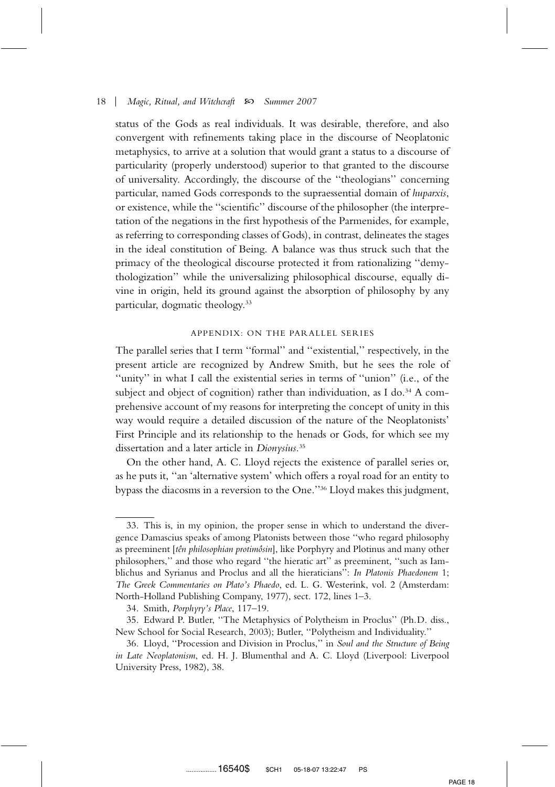status of the Gods as real individuals. It was desirable, therefore, and also convergent with refinements taking place in the discourse of Neoplatonic metaphysics, to arrive at a solution that would grant a status to a discourse of particularity (properly understood) superior to that granted to the discourse of universality. Accordingly, the discourse of the ''theologians'' concerning particular, named Gods corresponds to the supraessential domain of *huparxis*, or existence, while the ''scientific'' discourse of the philosopher (the interpretation of the negations in the first hypothesis of the Parmenides, for example, as referring to corresponding classes of Gods), in contrast, delineates the stages in the ideal constitution of Being. A balance was thus struck such that the primacy of the theological discourse protected it from rationalizing ''demythologization'' while the universalizing philosophical discourse, equally divine in origin, held its ground against the absorption of philosophy by any particular, dogmatic theology.33

#### APPENDIX: ON THE PARALLEL SERIES

The parallel series that I term ''formal'' and ''existential,'' respectively, in the present article are recognized by Andrew Smith, but he sees the role of ''unity'' in what I call the existential series in terms of ''union'' (i.e., of the subject and object of cognition) rather than individuation, as I do.<sup>34</sup> A comprehensive account of my reasons for interpreting the concept of unity in this way would require a detailed discussion of the nature of the Neoplatonists' First Principle and its relationship to the henads or Gods, for which see my dissertation and a later article in *Dionysius*. 35

On the other hand, A. C. Lloyd rejects the existence of parallel series or, as he puts it, ''an 'alternative system' which offers a royal road for an entity to bypass the diacosms in a reversion to the One.''36 Lloyd makes this judgment,

<sup>33.</sup> This is, in my opinion, the proper sense in which to understand the divergence Damascius speaks of among Platonists between those ''who regard philosophy as preeminent [tên philosophian protimôsin], like Porphyry and Plotinus and many other philosophers,'' and those who regard ''the hieratic art'' as preeminent, ''such as Iamblichus and Syrianus and Proclus and all the hieraticians'': *In Platonis Phaedonem* 1; *The Greek Commentaries on Plato's Phaedo*, ed. L. G. Westerink, vol. 2 (Amsterdam: North-Holland Publishing Company, 1977), sect. 172, lines 1–3.

<sup>34.</sup> Smith, *Porphyry's Place*, 117–19.

<sup>35.</sup> Edward P. Butler, ''The Metaphysics of Polytheism in Proclus'' (Ph.D. diss., New School for Social Research, 2003); Butler, ''Polytheism and Individuality.''

<sup>36.</sup> Lloyd, ''Procession and Division in Proclus,'' in *Soul and the Structure of Being in Late Neoplatonism*, ed. H. J. Blumenthal and A. C. Lloyd (Liverpool: Liverpool University Press, 1982), 38.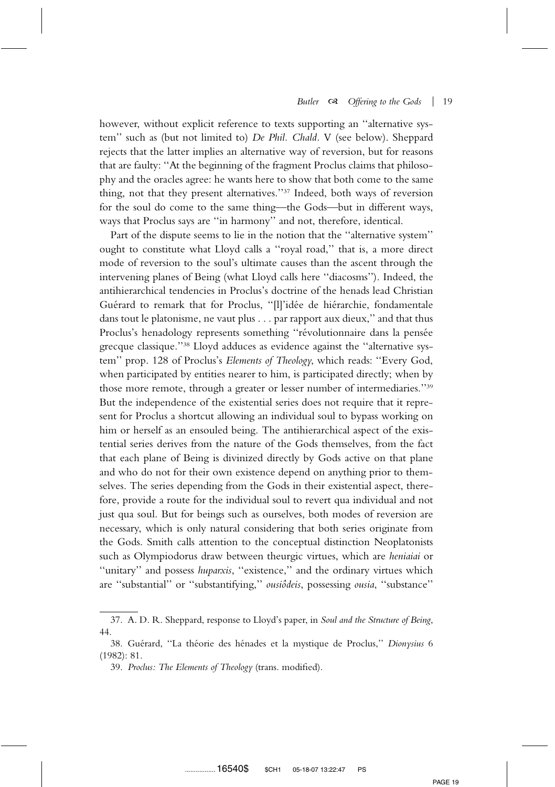however, without explicit reference to texts supporting an ''alternative system'' such as (but not limited to) *De Phil. Chald.* V (see below). Sheppard rejects that the latter implies an alternative way of reversion, but for reasons that are faulty: ''At the beginning of the fragment Proclus claims that philosophy and the oracles agree: he wants here to show that both come to the same thing, not that they present alternatives."<sup>37</sup> Indeed, both ways of reversion for the soul do come to the same thing—the Gods—but in different ways, ways that Proclus says are ''in harmony'' and not, therefore, identical.

Part of the dispute seems to lie in the notion that the ''alternative system'' ought to constitute what Lloyd calls a ''royal road,'' that is, a more direct mode of reversion to the soul's ultimate causes than the ascent through the intervening planes of Being (what Lloyd calls here ''diacosms''). Indeed, the antihierarchical tendencies in Proclus's doctrine of the henads lead Christian Guérard to remark that for Proclus, "[l]'idée de hiérarchie, fondamentale dans tout le platonisme, ne vaut plus . . . par rapport aux dieux,'' and that thus Proclus's henadology represents something "révolutionnaire dans la pensée grecque classique.''38 Lloyd adduces as evidence against the ''alternative system'' prop. 128 of Proclus's *Elements of Theology*, which reads: ''Every God, when participated by entities nearer to him, is participated directly; when by those more remote, through a greater or lesser number of intermediaries."<sup>39</sup> But the independence of the existential series does not require that it represent for Proclus a shortcut allowing an individual soul to bypass working on him or herself as an ensouled being. The antihierarchical aspect of the existential series derives from the nature of the Gods themselves, from the fact that each plane of Being is divinized directly by Gods active on that plane and who do not for their own existence depend on anything prior to themselves. The series depending from the Gods in their existential aspect, therefore, provide a route for the individual soul to revert qua individual and not just qua soul. But for beings such as ourselves, both modes of reversion are necessary, which is only natural considering that both series originate from the Gods. Smith calls attention to the conceptual distinction Neoplatonists such as Olympiodorus draw between theurgic virtues, which are *heniaiai* or ''unitary'' and possess *huparxis*, ''existence,'' and the ordinary virtues which are ''substantial'' or ''substantifying,'' *ousioˆdeis*, possessing *ousia*, ''substance''

<sup>37.</sup> A. D. R. Sheppard, response to Lloyd's paper, in *Soul and the Structure of Being*, 44.

<sup>38.</sup> Guérard, "La théorie des hénades et la mystique de Proclus," *Dionysius* 6 (1982): 81.

<sup>39.</sup> *Proclus: The Elements of Theology* (trans. modified).